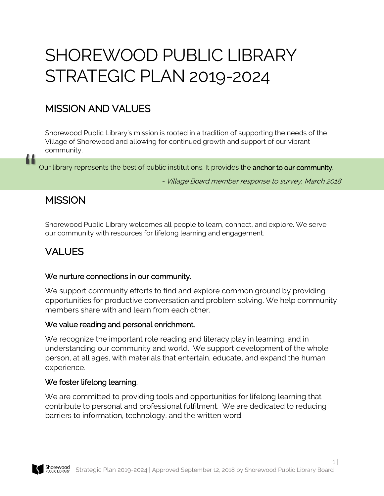# SHOREWOOD PUBLIC LIBRARY STRATEGIC PLAN 2019-2024

## MISSION AND VALUES

Shorewood Public Library's mission is rooted in a tradition of supporting the needs of the Village of Shorewood and allowing for continued growth and support of our vibrant community.

Our library represents the best of public institutions. It provides the **anchor to our community**. Our library represents the best of public institutions. It provides the anchor to our community.<br>- Village Board member response to survey, March 2018

1 |

## **MISSION**

Shorewood Public Library welcomes all people to learn, connect, and explore. We serve our community with resources for lifelong learning and engagement.

## VALUES

#### We nurture connections in our community.

We support community efforts to find and explore common ground by providing opportunities for productive conversation and problem solving. We help community members share with and learn from each other.

#### We value reading and personal enrichment.

We recognize the important role reading and literacy play in learning, and in understanding our community and world. We support development of the whole person, at all ages, with materials that entertain, educate, and expand the human experience.

#### We foster lifelong learning.

We are committed to providing tools and opportunities for lifelong learning that contribute to personal and professional fulfilment. We are dedicated to reducing barriers to information, technology, and the written word.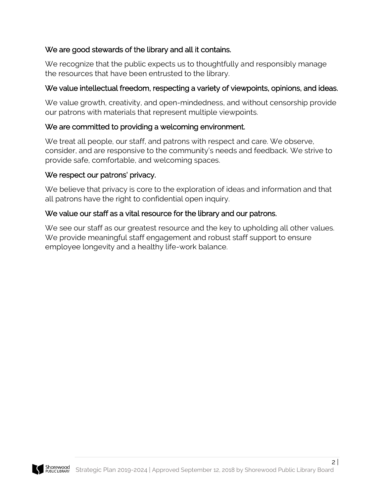#### We are good stewards of the library and all it contains.

We recognize that the public expects us to thoughtfully and responsibly manage the resources that have been entrusted to the library.

#### We value intellectual freedom, respecting a variety of viewpoints, opinions, and ideas.

We value growth, creativity, and open-mindedness, and without censorship provide our patrons with materials that represent multiple viewpoints.

#### We are committed to providing a welcoming environment.

We treat all people, our staff, and patrons with respect and care. We observe, consider, and are responsive to the community's needs and feedback. We strive to provide safe, comfortable, and welcoming spaces.

#### We respect our patrons' privacy.

We believe that privacy is core to the exploration of ideas and information and that all patrons have the right to confidential open inquiry.

#### We value our staff as a vital resource for the library and our patrons.

We see our staff as our greatest resource and the key to upholding all other values. We provide meaningful staff engagement and robust staff support to ensure employee longevity and a healthy life-work balance.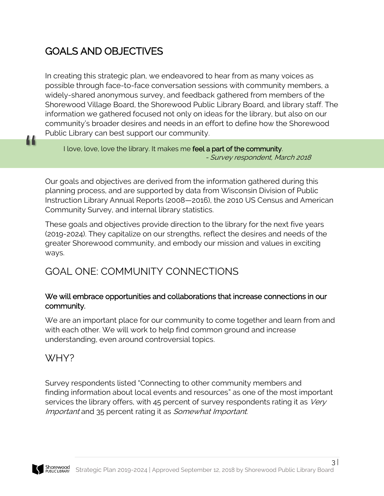## GOALS AND OBJECTIVES

In creating this strategic plan, we endeavored to hear from as many voices as possible through face-to-face conversation sessions with community members, a widely-shared anonymous survey, and feedback gathered from members of the Shorewood Village Board, the Shorewood Public Library Board, and library staff. The information we gathered focused not only on ideas for the library, but also on our community's broader desires and needs in an effort to define how the Shorewood Public Library can best support our community.

I love, love, love the library. It makes me feel a part of the community. - Survey respondent, March 2018

Our goals and objectives are derived from the information gathered during this planning process, and are supported by data from Wisconsin Division of Public Instruction Library Annual Reports (2008—2016), the 2010 US Census and American Community Survey, and internal library statistics.

These goals and objectives provide direction to the library for the next five years (2019-2024). They capitalize on our strengths, reflect the desires and needs of the greater Shorewood community, and embody our mission and values in exciting ways.

## GOAL ONE: COMMUNITY CONNECTIONS

#### We will embrace opportunities and collaborations that increase connections in our community.

We are an important place for our community to come together and learn from and with each other. We will work to help find common ground and increase understanding, even around controversial topics.

### WHY?

"

Survey respondents listed "Connecting to other community members and finding information about local events and resources" as one of the most important services the library offers, with 45 percent of survey respondents rating it as *Very* Important and 35 percent rating it as Somewhat Important.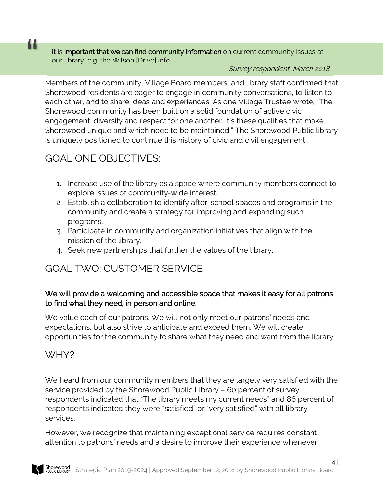It is **important that we can find community information** on current community issues at our library, e.g. the Wilson [Drive] info. It is **important that we can find community information** on current community issues at<br>our library, e.g. the Wilson [Drive] info.<br>- Survey respondent, March 2018

Members of the community, Village Board members, and library staff confirmed that Shorewood residents are eager to engage in community conversations, to listen to each other, and to share ideas and experiences. As one Village Trustee wrote, "The Shorewood community has been built on a solid foundation of active civic engagement, diversity and respect for one another. It's these qualities that make Shorewood unique and which need to be maintained." The Shorewood Public library is uniquely positioned to continue this history of civic and civil engagement.

## GOAL ONE OBJECTIVES:

- 1. Increase use of the library as a space where community members connect to explore issues of community-wide interest.
- 2. Establish a collaboration to identify after-school spaces and programs in the community and create a strategy for improving and expanding such programs.
- 3. Participate in community and organization initiatives that align with the mission of the library.
- 4. Seek new partnerships that further the values of the library.

### GOAL TWO: CUSTOMER SERVICE

#### We will provide a welcoming and accessible space that makes it easy for all patrons to find what they need, in person and online.

We value each of our patrons. We will not only meet our patrons' needs and expectations, but also strive to anticipate and exceed them. We will create opportunities for the community to share what they need and want from the library.

#### WHY?

We heard from our community members that they are largely very satisfied with the service provided by the Shorewood Public Library – 60 percent of survey respondents indicated that "The library meets my current needs" and 86 percent of respondents indicated they were "satisfied" or "very satisfied" with all library services.

However, we recognize that maintaining exceptional service requires constant attention to patrons' needs and a desire to improve their experience whenever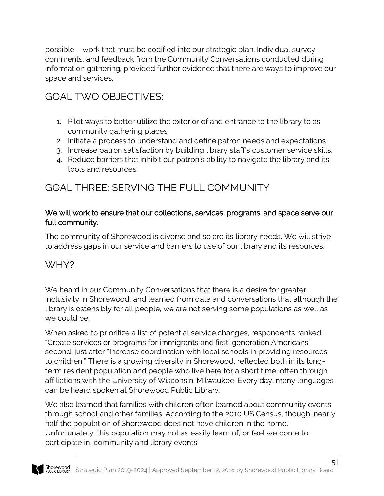possible – work that must be codified into our strategic plan. Individual survey comments, and feedback from the Community Conversations conducted during information gathering, provided further evidence that there are ways to improve our space and services.

## GOAL TWO OBJECTIVES:

- 1. Pilot ways to better utilize the exterior of and entrance to the library to as community gathering places.
- 2. Initiate a process to understand and define patron needs and expectations.
- 3. Increase patron satisfaction by building library staff's customer service skills.
- 4. Reduce barriers that inhibit our patron's ability to navigate the library and its tools and resources.

## GOAL THREE: SERVING THE FULL COMMUNITY

#### We will work to ensure that our collections, services, programs, and space serve our full community.

The community of Shorewood is diverse and so are its library needs. We will strive to address gaps in our service and barriers to use of our library and its resources.

### WHY?

We heard in our Community Conversations that there is a desire for greater inclusivity in Shorewood, and learned from data and conversations that although the library is ostensibly for all people, we are not serving some populations as well as we could be.

When asked to prioritize a list of potential service changes, respondents ranked "Create services or programs for immigrants and first-generation Americans" second, just after "Increase coordination with local schools in providing resources to children." There is a growing diversity in Shorewood, reflected both in its longterm resident population and people who live here for a short time, often through affiliations with the University of Wisconsin-Milwaukee. Every day, many languages can be heard spoken at Shorewood Public Library.

We also learned that families with children often learned about community events through school and other families. According to the 2010 US Census, though, nearly half the population of Shorewood does not have children in the home. Unfortunately, this population may not as easily learn of, or feel welcome to participate in, community and library events.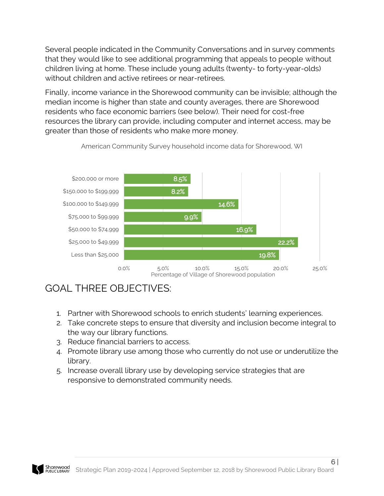Several people indicated in the Community Conversations and in survey comments that they would like to see additional programming that appeals to people without children living at home. These include young adults (twenty- to forty-year-olds) without children and active retirees or near-retirees.

Finally, income variance in the Shorewood community can be invisible; although the median income is higher than state and county averages, there are Shorewood residents who face economic barriers (see below). Their need for cost-free resources the library can provide, including computer and internet access, may be greater than those of residents who make more money.



American Community Survey household income data for Shorewood, WI

## GOAL THREE OBJECTIVES:

- 1. Partner with Shorewood schools to enrich students' learning experiences.
- 2. Take concrete steps to ensure that diversity and inclusion become integral to the way our library functions.
- 3. Reduce financial barriers to access.
- 4. Promote library use among those who currently do not use or underutilize the library.
- 5. Increase overall library use by developing service strategies that are responsive to demonstrated community needs.

6 |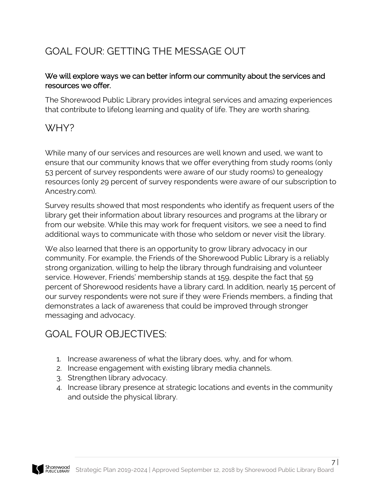## GOAL FOUR: GETTING THE MESSAGE OUT

#### We will explore ways we can better inform our community about the services and resources we offer.

The Shorewood Public Library provides integral services and amazing experiences that contribute to lifelong learning and quality of life. They are worth sharing.

## WHY?

While many of our services and resources are well known and used, we want to ensure that our community knows that we offer everything from study rooms (only 53 percent of survey respondents were aware of our study rooms) to genealogy resources (only 29 percent of survey respondents were aware of our subscription to Ancestry.com).

Survey results showed that most respondents who identify as frequent users of the library get their information about library resources and programs at the library or from our website. While this may work for frequent visitors, we see a need to find additional ways to communicate with those who seldom or never visit the library.

We also learned that there is an opportunity to grow library advocacy in our community. For example, the Friends of the Shorewood Public Library is a reliably strong organization, willing to help the library through fundraising and volunteer service. However, Friends' membership stands at 159, despite the fact that 59 percent of Shorewood residents have a library card. In addition, nearly 15 percent of our survey respondents were not sure if they were Friends members, a finding that demonstrates a lack of awareness that could be improved through stronger messaging and advocacy.

## GOAL FOUR OBJECTIVES:

- 1. Increase awareness of what the library does, why, and for whom.
- 2. Increase engagement with existing library media channels.
- 3. Strengthen library advocacy.
- 4. Increase library presence at strategic locations and events in the community and outside the physical library.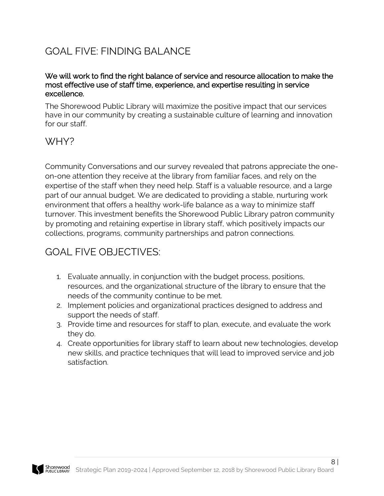## GOAL FIVE: FINDING BALANCE

#### We will work to find the right balance of service and resource allocation to make the most effective use of staff time, experience, and expertise resulting in service excellence.

The Shorewood Public Library will maximize the positive impact that our services have in our community by creating a sustainable culture of learning and innovation for our staff.

### WHY?

Community Conversations and our survey revealed that patrons appreciate the oneon-one attention they receive at the library from familiar faces, and rely on the expertise of the staff when they need help. Staff is a valuable resource, and a large part of our annual budget. We are dedicated to providing a stable, nurturing work environment that offers a healthy work-life balance as a way to minimize staff turnover. This investment benefits the Shorewood Public Library patron community by promoting and retaining expertise in library staff, which positively impacts our collections, programs, community partnerships and patron connections.

## GOAL FIVE OBJECTIVES:

- 1. Evaluate annually, in conjunction with the budget process, positions, resources, and the organizational structure of the library to ensure that the needs of the community continue to be met.
- 2. Implement policies and organizational practices designed to address and support the needs of staff.
- 3. Provide time and resources for staff to plan, execute, and evaluate the work they do.
- 4. Create opportunities for library staff to learn about new technologies, develop new skills, and practice techniques that will lead to improved service and job satisfaction.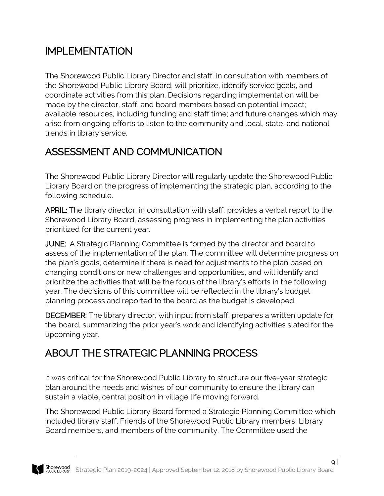## IMPLEMENTATION

The Shorewood Public Library Director and staff, in consultation with members of the Shorewood Public Library Board, will prioritize, identify service goals, and coordinate activities from this plan. Decisions regarding implementation will be made by the director, staff, and board members based on potential impact; available resources, including funding and staff time; and future changes which may arise from ongoing efforts to listen to the community and local, state, and national trends in library service.

## ASSESSMENT AND COMMUNICATION

The Shorewood Public Library Director will regularly update the Shorewood Public Library Board on the progress of implementing the strategic plan, according to the following schedule.

APRIL: The library director, in consultation with staff, provides a verbal report to the Shorewood Library Board, assessing progress in implementing the plan activities prioritized for the current year.

JUNE: A Strategic Planning Committee is formed by the director and board to assess of the implementation of the plan. The committee will determine progress on the plan's goals, determine if there is need for adjustments to the plan based on changing conditions or new challenges and opportunities, and will identify and prioritize the activities that will be the focus of the library's efforts in the following year. The decisions of this committee will be reflected in the library's budget planning process and reported to the board as the budget is developed.

DECEMBER: The library director, with input from staff, prepares a written update for the board, summarizing the prior year's work and identifying activities slated for the upcoming year.

## ABOUT THE STRATEGIC PLANNING PROCESS

It was critical for the Shorewood Public Library to structure our five-year strategic plan around the needs and wishes of our community to ensure the library can sustain a viable, central position in village life moving forward.

The Shorewood Public Library Board formed a Strategic Planning Committee which included library staff, Friends of the Shorewood Public Library members, Library Board members, and members of the community. The Committee used the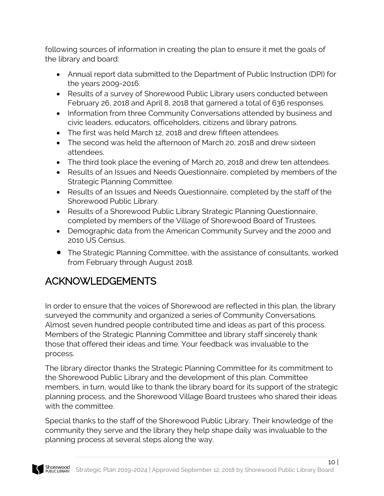following sources of information in creating the plan to ensure it met the goals of the library and board:

- Annual report data submitted to the Department of Public Instruction (DPI) for the years 2009-2016.
- Results of a survey of Shorewood Public Library users conducted between February 26, 2018 and April 8, 2018 that garnered a total of 636 responses.
- Information from three Community Conversations attended by business and civic leaders, educators, officeholders, citizens and library patrons.
- The first was held March 12, 2018 and drew fifteen attendees.
- The second was held the afternoon of March 20, 2018 and drew sixteen attendees.
- The third took place the evening of March 20, 2018 and drew ten attendees.
- Results of an Issues and Needs Questionnaire, completed by members of the Strategic Planning Committee.
- Results of an Issues and Needs Questionnaire, completed by the staff of the Shorewood Public Library.
- Results of a Shorewood Public Library Strategic Planning Questionnaire, completed by members of the Village of Shorewood Board of Trustees.
- Demographic data from the American Community Survey and the 2000 and 2010 US Census.
- The Strategic Planning Committee, with the assistance of consultants, worked from February through August 2018.

## ACKNOWLEDGEMENTS

In order to ensure that the voices of Shorewood are reflected in this plan, the library surveyed the community and organized a series of Community Conversations. Almost seven hundred people contributed time and ideas as part of this process. Members of the Strategic Planning Committee and library staff sincerely thank those that offered their ideas and time. Your feedback was invaluable to the process.

The library director thanks the Strategic Planning Committee for its commitment to the Shorewood Public Library and the development of this plan. Committee members, in turn, would like to thank the library board for its support of the strategic planning process, and the Shorewood Village Board trustees who shared their ideas with the committee.

Special thanks to the staff of the Shorewood Public Library. Their knowledge of the community they serve and the library they help shape daily was invaluable to the planning process at several steps along the way.